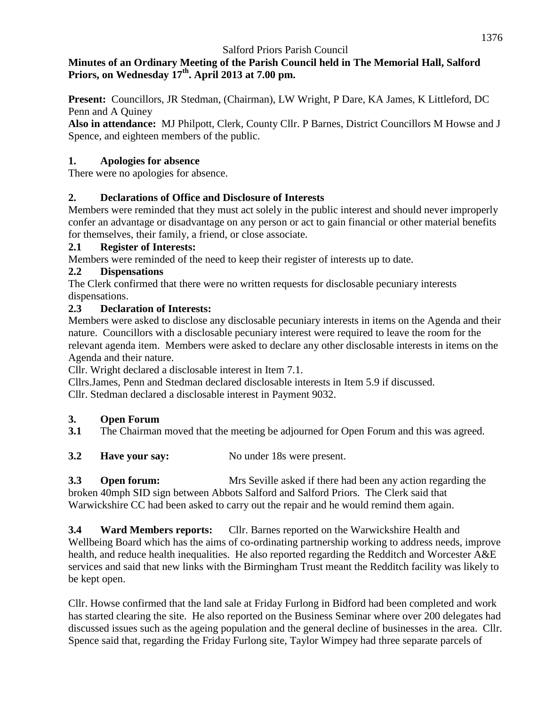### **Minutes of an Ordinary Meeting of the Parish Council held in The Memorial Hall, Salford Priors, on Wednesday 17th. April 2013 at 7.00 pm.**

**Present:** Councillors, JR Stedman, (Chairman), LW Wright, P Dare, KA James, K Littleford, DC Penn and A Quiney

**Also in attendance:** MJ Philpott, Clerk, County Cllr. P Barnes, District Councillors M Howse and J Spence, and eighteen members of the public.

### **1. Apologies for absence**

There were no apologies for absence.

### **2. Declarations of Office and Disclosure of Interests**

Members were reminded that they must act solely in the public interest and should never improperly confer an advantage or disadvantage on any person or act to gain financial or other material benefits for themselves, their family, a friend, or close associate.

### **2.1 Register of Interests:**

Members were reminded of the need to keep their register of interests up to date.

### **2.2 Dispensations**

The Clerk confirmed that there were no written requests for disclosable pecuniary interests dispensations.

### **2.3 Declaration of Interests:**

Members were asked to disclose any disclosable pecuniary interests in items on the Agenda and their nature. Councillors with a disclosable pecuniary interest were required to leave the room for the relevant agenda item. Members were asked to declare any other disclosable interests in items on the Agenda and their nature.

Cllr. Wright declared a disclosable interest in Item 7.1.

Cllrs.James, Penn and Stedman declared disclosable interests in Item 5.9 if discussed. Cllr. Stedman declared a disclosable interest in Payment 9032.

## **3. Open Forum**

**3.1** The Chairman moved that the meeting be adjourned for Open Forum and this was agreed.

**3.2 Have your say:** No under 18s were present.

**3.3 Open forum:** Mrs Seville asked if there had been any action regarding the broken 40mph SID sign between Abbots Salford and Salford Priors. The Clerk said that Warwickshire CC had been asked to carry out the repair and he would remind them again.

**3.4 Ward Members reports:** Cllr. Barnes reported on the Warwickshire Health and Wellbeing Board which has the aims of co-ordinating partnership working to address needs, improve health, and reduce health inequalities. He also reported regarding the Redditch and Worcester A&E services and said that new links with the Birmingham Trust meant the Redditch facility was likely to be kept open.

Cllr. Howse confirmed that the land sale at Friday Furlong in Bidford had been completed and work has started clearing the site. He also reported on the Business Seminar where over 200 delegates had discussed issues such as the ageing population and the general decline of businesses in the area. Cllr. Spence said that, regarding the Friday Furlong site, Taylor Wimpey had three separate parcels of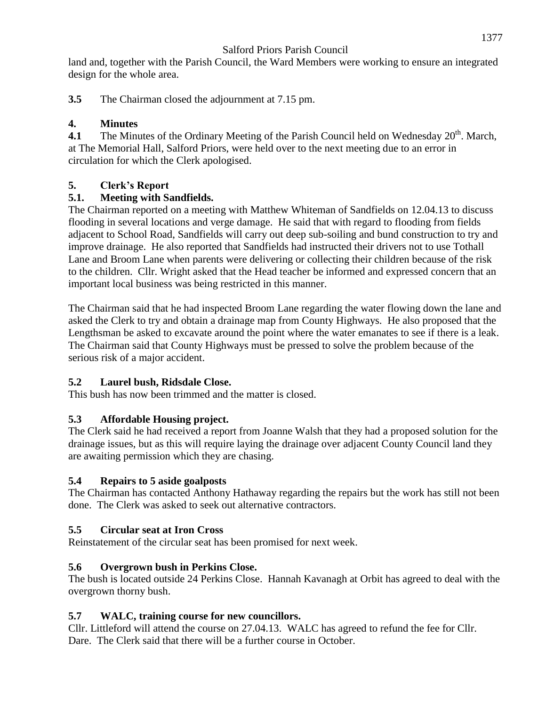land and, together with the Parish Council, the Ward Members were working to ensure an integrated design for the whole area.

**3.5** The Chairman closed the adjournment at 7.15 pm.

## **4. Minutes**

**4.1** The Minutes of the Ordinary Meeting of the Parish Council held on Wednesday  $20<sup>th</sup>$ . March, at The Memorial Hall, Salford Priors, were held over to the next meeting due to an error in circulation for which the Clerk apologised.

## **5. Clerk's Report**

## **5.1. Meeting with Sandfields.**

The Chairman reported on a meeting with Matthew Whiteman of Sandfields on 12.04.13 to discuss flooding in several locations and verge damage. He said that with regard to flooding from fields adjacent to School Road, Sandfields will carry out deep sub-soiling and bund construction to try and improve drainage. He also reported that Sandfields had instructed their drivers not to use Tothall Lane and Broom Lane when parents were delivering or collecting their children because of the risk to the children. Cllr. Wright asked that the Head teacher be informed and expressed concern that an important local business was being restricted in this manner.

The Chairman said that he had inspected Broom Lane regarding the water flowing down the lane and asked the Clerk to try and obtain a drainage map from County Highways. He also proposed that the Lengthsman be asked to excavate around the point where the water emanates to see if there is a leak. The Chairman said that County Highways must be pressed to solve the problem because of the serious risk of a major accident.

# **5.2 Laurel bush, Ridsdale Close.**

This bush has now been trimmed and the matter is closed.

# **5.3 Affordable Housing project.**

The Clerk said he had received a report from Joanne Walsh that they had a proposed solution for the drainage issues, but as this will require laying the drainage over adjacent County Council land they are awaiting permission which they are chasing.

# **5.4 Repairs to 5 aside goalposts**

The Chairman has contacted Anthony Hathaway regarding the repairs but the work has still not been done. The Clerk was asked to seek out alternative contractors.

# **5.5 Circular seat at Iron Cross**

Reinstatement of the circular seat has been promised for next week.

# **5.6 Overgrown bush in Perkins Close.**

The bush is located outside 24 Perkins Close. Hannah Kavanagh at Orbit has agreed to deal with the overgrown thorny bush.

# **5.7 WALC, training course for new councillors.**

Cllr. Littleford will attend the course on 27.04.13. WALC has agreed to refund the fee for Cllr. Dare. The Clerk said that there will be a further course in October.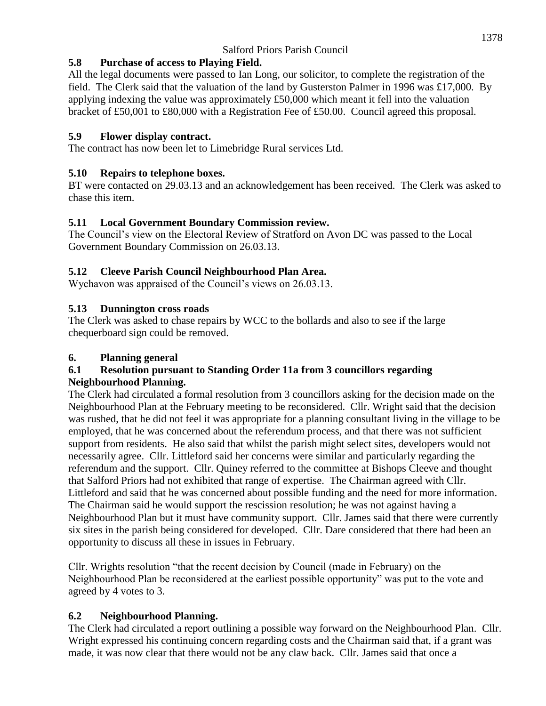### **5.8 Purchase of access to Playing Field.**

All the legal documents were passed to Ian Long, our solicitor, to complete the registration of the field. The Clerk said that the valuation of the land by Gusterston Palmer in 1996 was £17,000. By applying indexing the value was approximately £50,000 which meant it fell into the valuation bracket of £50,001 to £80,000 with a Registration Fee of £50.00. Council agreed this proposal.

### **5.9 Flower display contract.**

The contract has now been let to Limebridge Rural services Ltd.

### **5.10 Repairs to telephone boxes.**

BT were contacted on 29.03.13 and an acknowledgement has been received. The Clerk was asked to chase this item.

### **5.11 Local Government Boundary Commission review.**

The Council's view on the Electoral Review of Stratford on Avon DC was passed to the Local Government Boundary Commission on 26.03.13.

## **5.12 Cleeve Parish Council Neighbourhood Plan Area.**

Wychavon was appraised of the Council's views on 26.03.13.

## **5.13 Dunnington cross roads**

The Clerk was asked to chase repairs by WCC to the bollards and also to see if the large chequerboard sign could be removed.

## **6. Planning general**

#### **6.1 Resolution pursuant to Standing Order 11a from 3 councillors regarding Neighbourhood Planning.**

The Clerk had circulated a formal resolution from 3 councillors asking for the decision made on the Neighbourhood Plan at the February meeting to be reconsidered. Cllr. Wright said that the decision was rushed, that he did not feel it was appropriate for a planning consultant living in the village to be employed, that he was concerned about the referendum process, and that there was not sufficient support from residents. He also said that whilst the parish might select sites, developers would not necessarily agree. Cllr. Littleford said her concerns were similar and particularly regarding the referendum and the support. Cllr. Quiney referred to the committee at Bishops Cleeve and thought that Salford Priors had not exhibited that range of expertise. The Chairman agreed with Cllr. Littleford and said that he was concerned about possible funding and the need for more information. The Chairman said he would support the rescission resolution; he was not against having a Neighbourhood Plan but it must have community support. Cllr. James said that there were currently six sites in the parish being considered for developed. Cllr. Dare considered that there had been an opportunity to discuss all these in issues in February.

Cllr. Wrights resolution "that the recent decision by Council (made in February) on the Neighbourhood Plan be reconsidered at the earliest possible opportunity" was put to the vote and agreed by 4 votes to 3.

## **6.2 Neighbourhood Planning.**

The Clerk had circulated a report outlining a possible way forward on the Neighbourhood Plan. Cllr. Wright expressed his continuing concern regarding costs and the Chairman said that, if a grant was made, it was now clear that there would not be any claw back. Cllr. James said that once a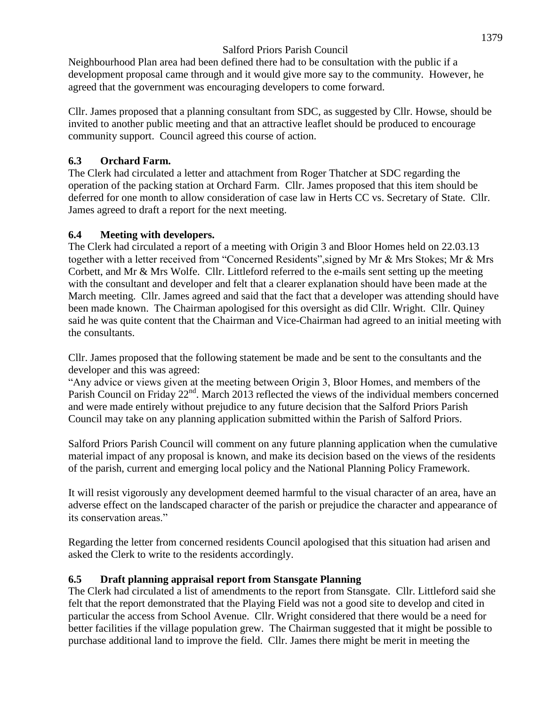Neighbourhood Plan area had been defined there had to be consultation with the public if a development proposal came through and it would give more say to the community. However, he agreed that the government was encouraging developers to come forward.

Cllr. James proposed that a planning consultant from SDC, as suggested by Cllr. Howse, should be invited to another public meeting and that an attractive leaflet should be produced to encourage community support. Council agreed this course of action.

### **6.3 Orchard Farm.**

The Clerk had circulated a letter and attachment from Roger Thatcher at SDC regarding the operation of the packing station at Orchard Farm. Cllr. James proposed that this item should be deferred for one month to allow consideration of case law in Herts CC vs. Secretary of State. Cllr. James agreed to draft a report for the next meeting.

### **6.4 Meeting with developers.**

The Clerk had circulated a report of a meeting with Origin 3 and Bloor Homes held on 22.03.13 together with a letter received from "Concerned Residents",signed by Mr & Mrs Stokes; Mr & Mrs Corbett, and Mr & Mrs Wolfe. Cllr. Littleford referred to the e-mails sent setting up the meeting with the consultant and developer and felt that a clearer explanation should have been made at the March meeting. Cllr. James agreed and said that the fact that a developer was attending should have been made known. The Chairman apologised for this oversight as did Cllr. Wright. Cllr. Quiney said he was quite content that the Chairman and Vice-Chairman had agreed to an initial meeting with the consultants.

Cllr. James proposed that the following statement be made and be sent to the consultants and the developer and this was agreed:

"Any advice or views given at the meeting between Origin 3, Bloor Homes, and members of the Parish Council on Friday 22<sup>nd</sup>. March 2013 reflected the views of the individual members concerned and were made entirely without prejudice to any future decision that the Salford Priors Parish Council may take on any planning application submitted within the Parish of Salford Priors.

Salford Priors Parish Council will comment on any future planning application when the cumulative material impact of any proposal is known, and make its decision based on the views of the residents of the parish, current and emerging local policy and the National Planning Policy Framework.

It will resist vigorously any development deemed harmful to the visual character of an area, have an adverse effect on the landscaped character of the parish or prejudice the character and appearance of its conservation areas."

Regarding the letter from concerned residents Council apologised that this situation had arisen and asked the Clerk to write to the residents accordingly.

## **6.5 Draft planning appraisal report from Stansgate Planning**

The Clerk had circulated a list of amendments to the report from Stansgate. Cllr. Littleford said she felt that the report demonstrated that the Playing Field was not a good site to develop and cited in particular the access from School Avenue. Cllr. Wright considered that there would be a need for better facilities if the village population grew. The Chairman suggested that it might be possible to purchase additional land to improve the field. Cllr. James there might be merit in meeting the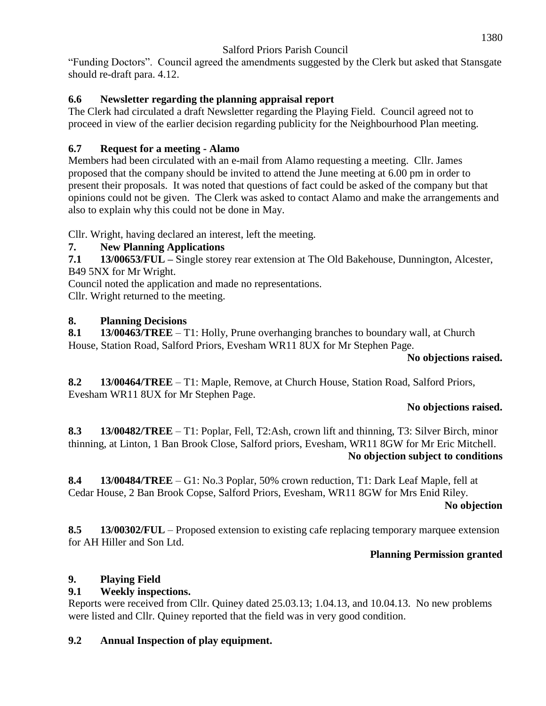"Funding Doctors". Council agreed the amendments suggested by the Clerk but asked that Stansgate should re-draft para. 4.12.

### **6.6 Newsletter regarding the planning appraisal report**

The Clerk had circulated a draft Newsletter regarding the Playing Field. Council agreed not to proceed in view of the earlier decision regarding publicity for the Neighbourhood Plan meeting.

### **6.7 Request for a meeting - Alamo**

Members had been circulated with an e-mail from Alamo requesting a meeting. Cllr. James proposed that the company should be invited to attend the June meeting at 6.00 pm in order to present their proposals. It was noted that questions of fact could be asked of the company but that opinions could not be given. The Clerk was asked to contact Alamo and make the arrangements and also to explain why this could not be done in May.

Cllr. Wright, having declared an interest, left the meeting.

### **7. New Planning Applications**

**7.1 13/00653/FUL –** Single storey rear extension at The Old Bakehouse, Dunnington, Alcester, B49 5NX for Mr Wright.

Council noted the application and made no representations.

Cllr. Wright returned to the meeting.

### **8. Planning Decisions**

**8.1 13/00463/TREE** – T1: Holly, Prune overhanging branches to boundary wall, at Church House, Station Road, Salford Priors, Evesham WR11 8UX for Mr Stephen Page.

### **No objections raised.**

**8.2 13/00464/TREE** – T1: Maple, Remove, at Church House, Station Road, Salford Priors, Evesham WR11 8UX for Mr Stephen Page.

### **No objections raised.**

**8.3 13/00482/TREE** – T1: Poplar, Fell, T2:Ash, crown lift and thinning, T3: Silver Birch, minor thinning, at Linton, 1 Ban Brook Close, Salford priors, Evesham, WR11 8GW for Mr Eric Mitchell. **No objection subject to conditions**

**8.4 13/00484/TREE** – G1: No.3 Poplar, 50% crown reduction, T1: Dark Leaf Maple, fell at Cedar House, 2 Ban Brook Copse, Salford Priors, Evesham, WR11 8GW for Mrs Enid Riley.

**No objection**

**8.5 13/00302/FUL** – Proposed extension to existing cafe replacing temporary marquee extension for AH Hiller and Son Ltd.

### **Planning Permission granted**

## **9. Playing Field**

### **9.1 Weekly inspections.**

Reports were received from Cllr. Quiney dated 25.03.13; 1.04.13, and 10.04.13. No new problems were listed and Cllr. Quiney reported that the field was in very good condition.

### **9.2 Annual Inspection of play equipment.**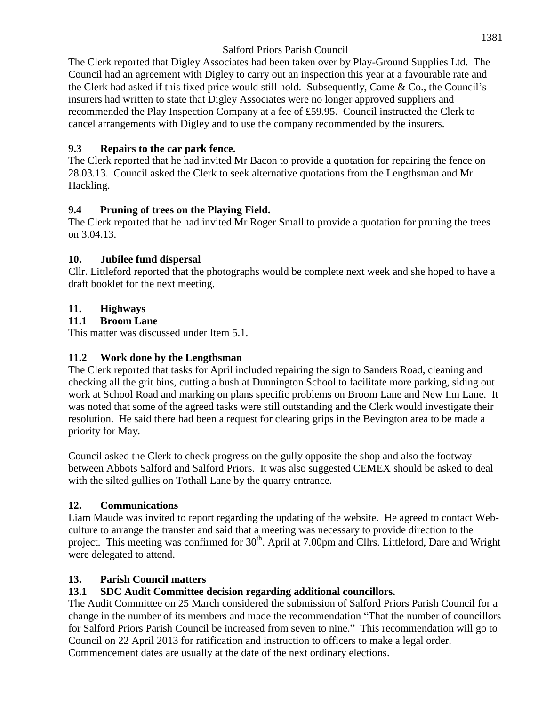The Clerk reported that Digley Associates had been taken over by Play-Ground Supplies Ltd. The Council had an agreement with Digley to carry out an inspection this year at a favourable rate and the Clerk had asked if this fixed price would still hold. Subsequently, Came & Co., the Council's insurers had written to state that Digley Associates were no longer approved suppliers and recommended the Play Inspection Company at a fee of £59.95. Council instructed the Clerk to cancel arrangements with Digley and to use the company recommended by the insurers.

### **9.3 Repairs to the car park fence.**

The Clerk reported that he had invited Mr Bacon to provide a quotation for repairing the fence on 28.03.13. Council asked the Clerk to seek alternative quotations from the Lengthsman and Mr Hackling.

### **9.4 Pruning of trees on the Playing Field.**

The Clerk reported that he had invited Mr Roger Small to provide a quotation for pruning the trees on 3.04.13.

### **10. Jubilee fund dispersal**

Cllr. Littleford reported that the photographs would be complete next week and she hoped to have a draft booklet for the next meeting.

## **11. Highways**

### **11.1 Broom Lane**

This matter was discussed under Item 5.1.

### **11.2 Work done by the Lengthsman**

The Clerk reported that tasks for April included repairing the sign to Sanders Road, cleaning and checking all the grit bins, cutting a bush at Dunnington School to facilitate more parking, siding out work at School Road and marking on plans specific problems on Broom Lane and New Inn Lane. It was noted that some of the agreed tasks were still outstanding and the Clerk would investigate their resolution. He said there had been a request for clearing grips in the Bevington area to be made a priority for May.

Council asked the Clerk to check progress on the gully opposite the shop and also the footway between Abbots Salford and Salford Priors. It was also suggested CEMEX should be asked to deal with the silted gullies on Tothall Lane by the quarry entrance.

## **12. Communications**

Liam Maude was invited to report regarding the updating of the website. He agreed to contact Webculture to arrange the transfer and said that a meeting was necessary to provide direction to the project. This meeting was confirmed for 30<sup>th</sup>. April at 7.00pm and Cllrs. Littleford, Dare and Wright were delegated to attend.

### **13. Parish Council matters**

## **13.1 SDC Audit Committee decision regarding additional councillors.**

The Audit Committee on 25 March considered the submission of Salford Priors Parish Council for a change in the number of its members and made the recommendation "That the number of councillors for Salford Priors Parish Council be increased from seven to nine." This recommendation will go to Council on 22 April 2013 for ratification and instruction to officers to make a legal order. Commencement dates are usually at the date of the next ordinary elections.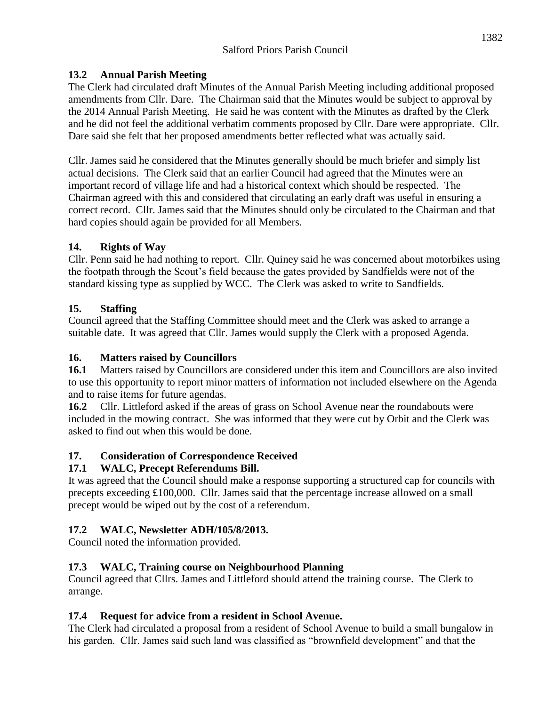#### **13.2 Annual Parish Meeting**

The Clerk had circulated draft Minutes of the Annual Parish Meeting including additional proposed amendments from Cllr. Dare. The Chairman said that the Minutes would be subject to approval by the 2014 Annual Parish Meeting. He said he was content with the Minutes as drafted by the Clerk and he did not feel the additional verbatim comments proposed by Cllr. Dare were appropriate. Cllr. Dare said she felt that her proposed amendments better reflected what was actually said.

Cllr. James said he considered that the Minutes generally should be much briefer and simply list actual decisions. The Clerk said that an earlier Council had agreed that the Minutes were an important record of village life and had a historical context which should be respected. The Chairman agreed with this and considered that circulating an early draft was useful in ensuring a correct record. Cllr. James said that the Minutes should only be circulated to the Chairman and that hard copies should again be provided for all Members.

#### **14. Rights of Way**

Cllr. Penn said he had nothing to report. Cllr. Quiney said he was concerned about motorbikes using the footpath through the Scout's field because the gates provided by Sandfields were not of the standard kissing type as supplied by WCC. The Clerk was asked to write to Sandfields.

#### **15. Staffing**

Council agreed that the Staffing Committee should meet and the Clerk was asked to arrange a suitable date. It was agreed that Cllr. James would supply the Clerk with a proposed Agenda.

#### **16. Matters raised by Councillors**

**16.1** Matters raised by Councillors are considered under this item and Councillors are also invited to use this opportunity to report minor matters of information not included elsewhere on the Agenda and to raise items for future agendas.

**16.2** Cllr. Littleford asked if the areas of grass on School Avenue near the roundabouts were included in the mowing contract. She was informed that they were cut by Orbit and the Clerk was asked to find out when this would be done.

### **17. Consideration of Correspondence Received**

#### **17.1 WALC, Precept Referendums Bill.**

It was agreed that the Council should make a response supporting a structured cap for councils with precepts exceeding £100,000. Cllr. James said that the percentage increase allowed on a small precept would be wiped out by the cost of a referendum.

### **17.2 WALC, Newsletter ADH/105/8/2013.**

Council noted the information provided.

#### **17.3 WALC, Training course on Neighbourhood Planning**

Council agreed that Cllrs. James and Littleford should attend the training course. The Clerk to arrange.

#### **17.4 Request for advice from a resident in School Avenue.**

The Clerk had circulated a proposal from a resident of School Avenue to build a small bungalow in his garden. Cllr. James said such land was classified as "brownfield development" and that the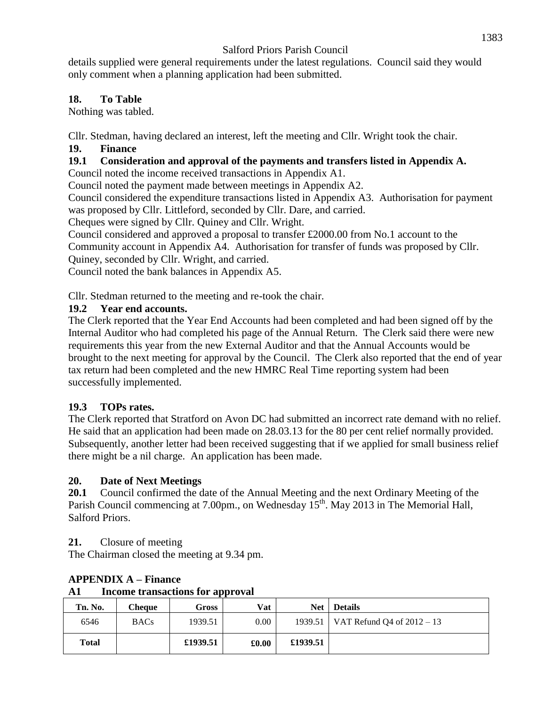details supplied were general requirements under the latest regulations. Council said they would only comment when a planning application had been submitted.

#### **18. To Table**

Nothing was tabled.

Cllr. Stedman, having declared an interest, left the meeting and Cllr. Wright took the chair.

### **19. Finance**

### **19.1 Consideration and approval of the payments and transfers listed in Appendix A.**

Council noted the income received transactions in Appendix A1.

Council noted the payment made between meetings in Appendix A2.

Council considered the expenditure transactions listed in Appendix A3. Authorisation for payment was proposed by Cllr. Littleford, seconded by Cllr. Dare, and carried.

Cheques were signed by Cllr. Quiney and Cllr. Wright.

Council considered and approved a proposal to transfer £2000.00 from No.1 account to the Community account in Appendix A4. Authorisation for transfer of funds was proposed by Cllr. Quiney, seconded by Cllr. Wright, and carried.

Council noted the bank balances in Appendix A5.

Cllr. Stedman returned to the meeting and re-took the chair.

### **19.2 Year end accounts.**

The Clerk reported that the Year End Accounts had been completed and had been signed off by the Internal Auditor who had completed his page of the Annual Return. The Clerk said there were new requirements this year from the new External Auditor and that the Annual Accounts would be brought to the next meeting for approval by the Council. The Clerk also reported that the end of year tax return had been completed and the new HMRC Real Time reporting system had been successfully implemented.

### **19.3 TOPs rates.**

The Clerk reported that Stratford on Avon DC had submitted an incorrect rate demand with no relief. He said that an application had been made on 28.03.13 for the 80 per cent relief normally provided. Subsequently, another letter had been received suggesting that if we applied for small business relief there might be a nil charge. An application has been made.

### **20. Date of Next Meetings**

**20.1** Council confirmed the date of the Annual Meeting and the next Ordinary Meeting of the Parish Council commencing at 7.00pm., on Wednesday 15<sup>th</sup>. May 2013 in The Memorial Hall, Salford Priors.

**21.** Closure of meeting

The Chairman closed the meeting at 9.34 pm.

| лі<br>Income transactions for approval |             |          |       |            |                                        |
|----------------------------------------|-------------|----------|-------|------------|----------------------------------------|
| Tn. No.                                | Cheque      | Gross    | Vat   | <b>Net</b> | <b>Details</b>                         |
| 6546                                   | <b>BACs</b> | 1939.51  | 0.00  |            | 1939.51   VAT Refund Q4 of $2012 - 13$ |
| <b>Total</b>                           |             | £1939.51 | £0.00 | £1939.51   |                                        |

### **APPENDIX A – Finance**

**A1 Income transactions for approval**